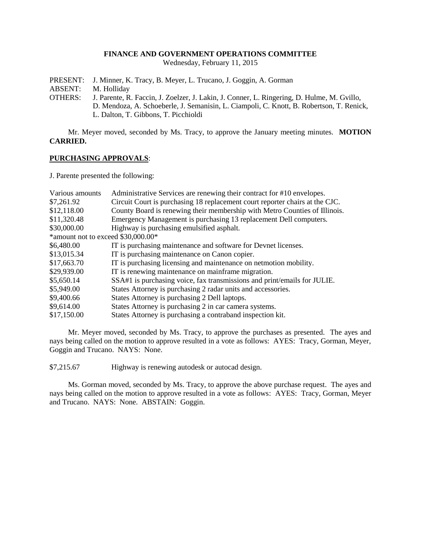#### **FINANCE AND GOVERNMENT OPERATIONS COMMITTEE**

Wednesday, February 11, 2015

PRESENT: J. Minner, K. Tracy, B. Meyer, L. Trucano, J. Goggin, A. Gorman

ABSENT: M. Holliday

OTHERS: J. Parente, R. Faccin, J. Zoelzer, J. Lakin, J. Conner, L. Ringering, D. Hulme, M. Gvillo, D. Mendoza, A. Schoeberle, J. Semanisin, L. Ciampoli, C. Knott, B. Robertson, T. Renick, L. Dalton, T. Gibbons, T. Picchioldi

Mr. Meyer moved, seconded by Ms. Tracy, to approve the January meeting minutes. **MOTION CARRIED.**

### **PURCHASING APPROVALS**:

J. Parente presented the following:

| Administrative Services are renewing their contract for #10 envelopes.       |
|------------------------------------------------------------------------------|
| Circuit Court is purchasing 18 replacement court reporter chairs at the CJC. |
| County Board is renewing their membership with Metro Counties of Illinois.   |
| Emergency Management is purchasing 13 replacement Dell computers.            |
| Highway is purchasing emulsified asphalt.                                    |
| *amount not to exceed \$30,000.00*                                           |
| IT is purchasing maintenance and software for Devnet licenses.               |
| IT is purchasing maintenance on Canon copier.                                |
| IT is purchasing licensing and maintenance on netmotion mobility.            |
| IT is renewing maintenance on mainframe migration.                           |
| SSA#1 is purchasing voice, fax transmissions and print/emails for JULIE.     |
| States Attorney is purchasing 2 radar units and accessories.                 |
| States Attorney is purchasing 2 Dell laptops.                                |
| States Attorney is purchasing 2 in car camera systems.                       |
| States Attorney is purchasing a contraband inspection kit.                   |
|                                                                              |

Mr. Meyer moved, seconded by Ms. Tracy, to approve the purchases as presented. The ayes and nays being called on the motion to approve resulted in a vote as follows: AYES: Tracy, Gorman, Meyer, Goggin and Trucano. NAYS: None.

\$7,215.67 Highway is renewing autodesk or autocad design.

Ms. Gorman moved, seconded by Ms. Tracy, to approve the above purchase request. The ayes and nays being called on the motion to approve resulted in a vote as follows: AYES: Tracy, Gorman, Meyer and Trucano. NAYS: None. ABSTAIN: Goggin.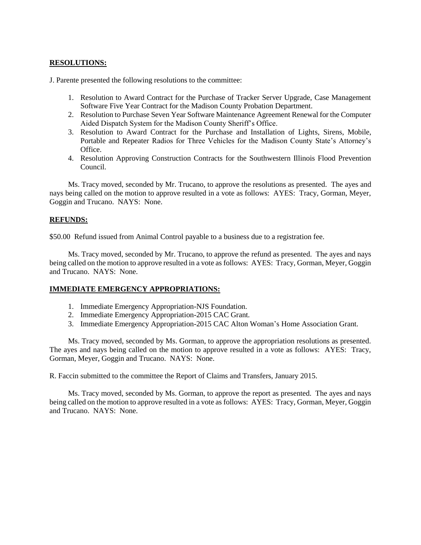# **RESOLUTIONS:**

J. Parente presented the following resolutions to the committee:

- 1. Resolution to Award Contract for the Purchase of Tracker Server Upgrade, Case Management Software Five Year Contract for the Madison County Probation Department.
- 2. Resolution to Purchase Seven Year Software Maintenance Agreement Renewal for the Computer Aided Dispatch System for the Madison County Sheriff's Office.
- 3. Resolution to Award Contract for the Purchase and Installation of Lights, Sirens, Mobile, Portable and Repeater Radios for Three Vehicles for the Madison County State's Attorney's Office.
- 4. Resolution Approving Construction Contracts for the Southwestern Illinois Flood Prevention Council.

Ms. Tracy moved, seconded by Mr. Trucano, to approve the resolutions as presented. The ayes and nays being called on the motion to approve resulted in a vote as follows: AYES: Tracy, Gorman, Meyer, Goggin and Trucano. NAYS: None.

### **REFUNDS:**

\$50.00 Refund issued from Animal Control payable to a business due to a registration fee.

Ms. Tracy moved, seconded by Mr. Trucano, to approve the refund as presented. The ayes and nays being called on the motion to approve resulted in a vote as follows: AYES: Tracy, Gorman, Meyer, Goggin and Trucano. NAYS: None.

#### **IMMEDIATE EMERGENCY APPROPRIATIONS:**

- 1. Immediate Emergency Appropriation-NJS Foundation.
- 2. Immediate Emergency Appropriation-2015 CAC Grant.
- 3. Immediate Emergency Appropriation-2015 CAC Alton Woman's Home Association Grant.

Ms. Tracy moved, seconded by Ms. Gorman, to approve the appropriation resolutions as presented. The ayes and nays being called on the motion to approve resulted in a vote as follows: AYES: Tracy, Gorman, Meyer, Goggin and Trucano. NAYS: None.

R. Faccin submitted to the committee the Report of Claims and Transfers, January 2015.

Ms. Tracy moved, seconded by Ms. Gorman, to approve the report as presented. The ayes and nays being called on the motion to approve resulted in a vote as follows: AYES: Tracy, Gorman, Meyer, Goggin and Trucano. NAYS: None.